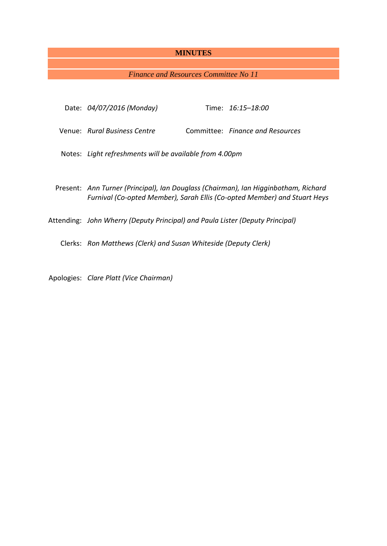# **MINUTES**

# *Finance and Resources Committee No 11*

| Date: 04/07/2016 (Monday)                                                                                                                                        |  | Time: 16:15-18:00                |
|------------------------------------------------------------------------------------------------------------------------------------------------------------------|--|----------------------------------|
| Venue: Rural Business Centre                                                                                                                                     |  | Committee: Finance and Resources |
| Notes: Light refreshments will be available from 4.00pm                                                                                                          |  |                                  |
| Present: Ann Turner (Principal), Ian Douglass (Chairman), Ian Higginbotham, Richard<br>Furnival (Co-opted Member), Sarah Ellis (Co-opted Member) and Stuart Heys |  |                                  |
| Attending: John Wherry (Deputy Principal) and Paula Lister (Deputy Principal)                                                                                    |  |                                  |
| Clerks: Ron Matthews (Clerk) and Susan Whiteside (Deputy Clerk)                                                                                                  |  |                                  |
| Apologies: Clare Platt (Vice Chairman)                                                                                                                           |  |                                  |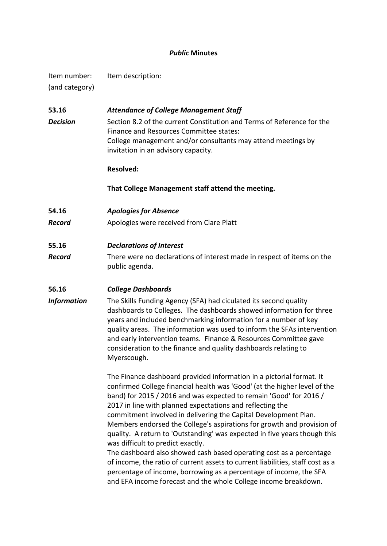## *Public* **Minutes**

Item number: Item description: (and category)

# **53.16** *Attendance of College Management Staff Decision* Section 8.2 of the current Constitution and Terms of Reference for the Finance and Resources Committee states: College management and/or consultants may attend meetings by invitation in an advisory capacity.

### **Resolved:**

**That College Management staff attend the meeting.**

**54.16** *Apologies for Absence*

**Record** Apologies were received from Clare Platt

### **55.16** *Declarations of Interest*

*Record* There were no declarations of interest made in respect of items on the public agenda.

# **56.16** *College Dashboards*

*Information* The Skills Funding Agency (SFA) had ciculated its second quality dashboards to Colleges. The dashboards showed information for three years and included benchmarking information for a number of key quality areas. The information was used to inform the SFAs intervention and early intervention teams. Finance & Resources Committee gave consideration to the finance and quality dashboards relating to Myerscough.

> The Finance dashboard provided information in a pictorial format. It confirmed College financial health was 'Good' (at the higher level of the band) for 2015 / 2016 and was expected to remain 'Good' for 2016 / 2017 in line with planned expectations and reflecting the commitment involved in delivering the Capital Development Plan. Members endorsed the College's aspirations for growth and provision of quality. A return to 'Outstanding' was expected in five years though this was difficult to predict exactly.

> The dashboard also showed cash based operating cost as a percentage of income, the ratio of current assets to current liabilities, staff cost as a percentage of income, borrowing as a percentage of income, the SFA and EFA income forecast and the whole College income breakdown.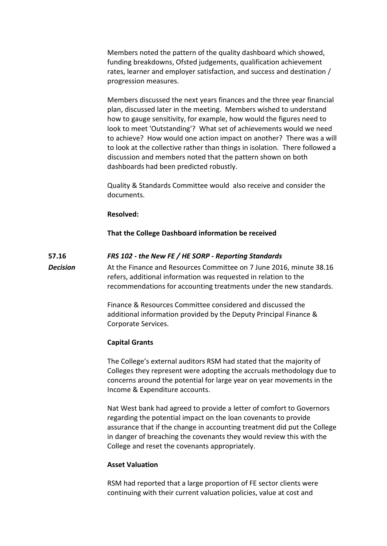Members noted the pattern of the quality dashboard which showed, funding breakdowns, Ofsted judgements, qualification achievement rates, learner and employer satisfaction, and success and destination / progression measures.

Members discussed the next years finances and the three year financial plan, discussed later in the meeting. Members wished to understand how to gauge sensitivity, for example, how would the figures need to look to meet 'Outstanding'? What set of achievements would we need to achieve? How would one action impact on another? There was a will to look at the collective rather than things in isolation. There followed a discussion and members noted that the pattern shown on both dashboards had been predicted robustly.

Quality & Standards Committee would also receive and consider the documents.

#### **Resolved:**

#### **That the College Dashboard information be received**

#### **57.16** *FRS 102 - the New FE / HE SORP - Reporting Standards*

*Decision* At the Finance and Resources Committee on 7 June 2016, minute 38.16 refers, additional information was requested in relation to the recommendations for accounting treatments under the new standards.

> Finance & Resources Committee considered and discussed the additional information provided by the Deputy Principal Finance & Corporate Services.

#### **Capital Grants**

The College's external auditors RSM had stated that the majority of Colleges they represent were adopting the accruals methodology due to concerns around the potential for large year on year movements in the Income & Expenditure accounts.

Nat West bank had agreed to provide a letter of comfort to Governors regarding the potential impact on the loan covenants to provide assurance that if the change in accounting treatment did put the College in danger of breaching the covenants they would review this with the College and reset the covenants appropriately.

#### **Asset Valuation**

RSM had reported that a large proportion of FE sector clients were continuing with their current valuation policies, value at cost and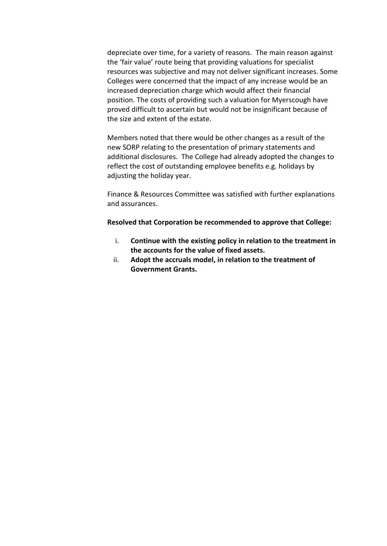depreciate over time, for a variety of reasons. The main reason against the 'fair value' route being that providing valuations for specialist resources was subjective and may not deliver significant increases. Some Colleges were concerned that the impact of any increase would be an increased depreciation charge which would affect their financial position. The costs of providing such a valuation for Myerscough have proved difficult to ascertain but would not be insignificant because of the size and extent of the estate.

Members noted that there would be other changes as a result of the new SORP relating to the presentation of primary statements and additional disclosures. The College had already adopted the changes to reflect the cost of outstanding employee benefits e.g. holidays by adjusting the holiday year.

Finance & Resources Committee was satisfied with further explanations and assurances.

### **Resolved that Corporation be recommended to approve that College:**

- i. **Continue with the existing policy in relation to the treatment in the accounts for the value of fixed assets.**
- ii. **Adopt the accruals model, in relation to the treatment of Government Grants.**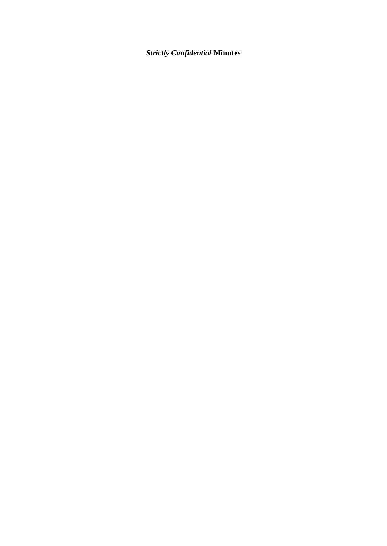# *Strictly Confidential* **Minutes**